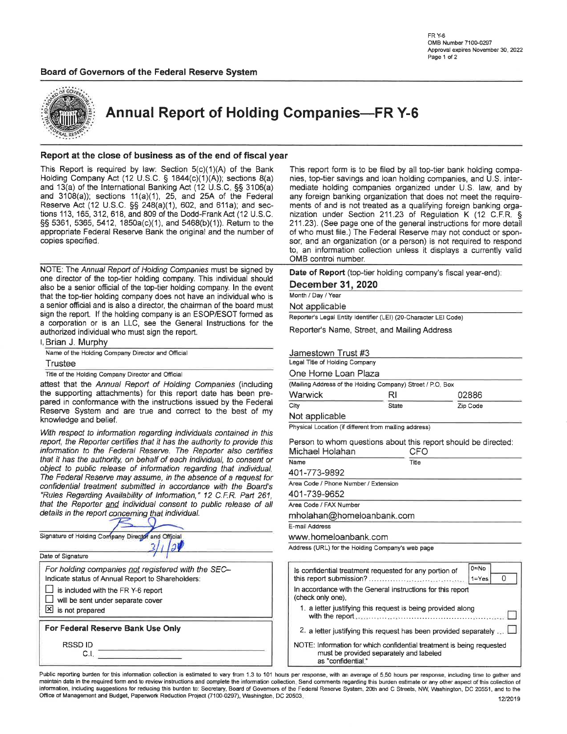

Annual Report of Holding Companies-FR Y-6

#### Report at the close of business as of the end of fiscal year

This Report is required by law: Section  $5(c)(1)(A)$  of the Bank Holding Company Act (12 U.S.C. § 1844(c)(1)(A)); sections 8(a) and 13(a) of the lnternational Banking Act (12 U.S.C. SS 3106(a) and 3108(a)); sections 11(a)(1), 25, and 25A of the Federal Reserve Act (12 U.S.C. §§ 248(a)(1), 602, and 611a); and sections '113, 165, 312, 618, and 809 of the Dodd-FrankAct (12 U.S.C. SS 5361, 5365, 5412, 1850a(c)(1), and 5468(b)(1)). Return to the appropriate Federal Reserve Bank the original and the number of copies specified.

NOTE: The Annual Report of Holding Companies must be signed by one director of the top-tier holding company. This individual should also be a senior official of the top-tier holding company. ln the event that the top-tier holding company does not have an individual who is a senior official and is also a director, the chairman of the board must sign the report. lf the holding company is an ESOP/ESOT formed as a corporation or is an LLC, see the General lnstructions for the authorized individual who must sign the report.

| l, Brian J. Murphy                                |  |  |  |  |  |
|---------------------------------------------------|--|--|--|--|--|
| Name of the Holding Company Director and Official |  |  |  |  |  |
| Trustee                                           |  |  |  |  |  |
|                                                   |  |  |  |  |  |

Title of the Holding Company Director and Official

attest that the Annual Report of Holding Companies (including the supporting attachments) for this report date has been prepared in conformance with the instructions issued by the Federal Reserve System and are true and correct to the best of my knowledge and belief.

With respect to information regarding individuals contained in this report, the Reporter certifies that it has the authority to provide this information to the Federal Reserve. The Reporter also certifies that it has the authority, on behalf of each individual, to consent or object to public release of information regarding that individual. The Federal Reserye may assume, in the absence of a request for confidential treatment submitted in accordance with the Board's "Rules Regarding Availability of Information," 12 C.F.R. Part 261, that the Reporter and individual consent to public release of all details in the report concerning that individual.

| Signature of Holding Company Director and Official                                                      | E-mail Address<br>www.homeloanbank.com                                       |
|---------------------------------------------------------------------------------------------------------|------------------------------------------------------------------------------|
|                                                                                                         | Address (URL) for the Holding Com                                            |
| Date of Signature                                                                                       |                                                                              |
| For holding companies not registered with the SEC-<br>Indicate status of Annual Report to Shareholders: | Is confidential treatment reque<br>this report submission?                   |
| is included with the FR Y-6 report<br>will be sent under separate cover                                 | In accordance with the Genera<br>(check only one).                           |
| $\boxtimes$ is not prepared                                                                             | 1. a letter justifying this requ<br>with the report                          |
| For Federal Reserve Bank Use Only                                                                       | 2. a letter justifying this requ                                             |
| <b>RSSDID</b><br>C.I                                                                                    | NOTE: Information for which c<br>must be provided sepa<br>as "confidential." |

This report form is to be filed by all top-tier bank holding companies, top-tier savings and loan holding companies, and U.S. intermediate holding companies organized under U.S. law, and by any foreign banking organization that does not meet the requirements of and is not treated as a qualifying foreign banking organization under Section 211.23 of Regulation K (12 C.F.R. § 211.23). (See page one of the general instructions for more detail of who must file.) The Federal Reserve may not conduct or sponsor, and an organization (or a person) is not required to respond to, an information collection unless it displays a currently valid OMB control number.

Date of Report (top-tier holding company's fiscal year-end):

December 31 2020

Month/Day/Year

Not applicable

Reporter's Legal Entity Identifier (LEI) (20-Character LEI Code)

Reporter's Name, Street, and Mailing Address

| Jamestown Trust #3             |                                                            |          |  |  |  |  |  |
|--------------------------------|------------------------------------------------------------|----------|--|--|--|--|--|
| Legal Title of Holding Company |                                                            |          |  |  |  |  |  |
| One Home Loan Plaza            |                                                            |          |  |  |  |  |  |
|                                | (Mailing Address of the Holding Company) Street / P.O. Box |          |  |  |  |  |  |
| Warwick                        | RI                                                         | 02886    |  |  |  |  |  |
| City                           | State                                                      | Zip Code |  |  |  |  |  |

Not applicable

Physical Location (if different from mailing address)

Person to whom questions about this report should be directed: Michael Holahan CFO

| Name                                 | Title |  |  |  |  |
|--------------------------------------|-------|--|--|--|--|
| 401-773-9892                         |       |  |  |  |  |
| Area Code / Phone Number / Extension |       |  |  |  |  |
| 401-739-9652                         |       |  |  |  |  |
| Area Code / FAX Number               |       |  |  |  |  |
| mholahan@homeloanbank.com            |       |  |  |  |  |
| E-mail Address                       |       |  |  |  |  |
| www.homeloanbank.com                 |       |  |  |  |  |
|                                      |       |  |  |  |  |

Address (URL) for the Holding Company's web page

| Is confidential treatment requested for any portion of                                                                                 | 0≕No<br>$1 = Yes$ |  |  |  |  |  |  |
|----------------------------------------------------------------------------------------------------------------------------------------|-------------------|--|--|--|--|--|--|
| In accordance with the General instructions for this report<br>(check only one).                                                       |                   |  |  |  |  |  |  |
| 1. a letter justifying this request is being provided along                                                                            |                   |  |  |  |  |  |  |
| 2. a letter justifying this request has been provided separately                                                                       |                   |  |  |  |  |  |  |
| NOTE: Information for which confidential treatment is being requested<br>must be provided separately and labeled<br>as "confidential." |                   |  |  |  |  |  |  |

Public reporting burden for this information collection is estimated to vary from 1.3 to 101 hours per response, with an average of 5.50 hours per response, including time to gather and<br>maintain data in the required form a information, including suggestions for reducing this burden to: Secretary, Board of Governors of the Federal Reserve System, 20th and C Streets, NW, Washington, DC 20551, and to the<br>12/2019 - 12/2019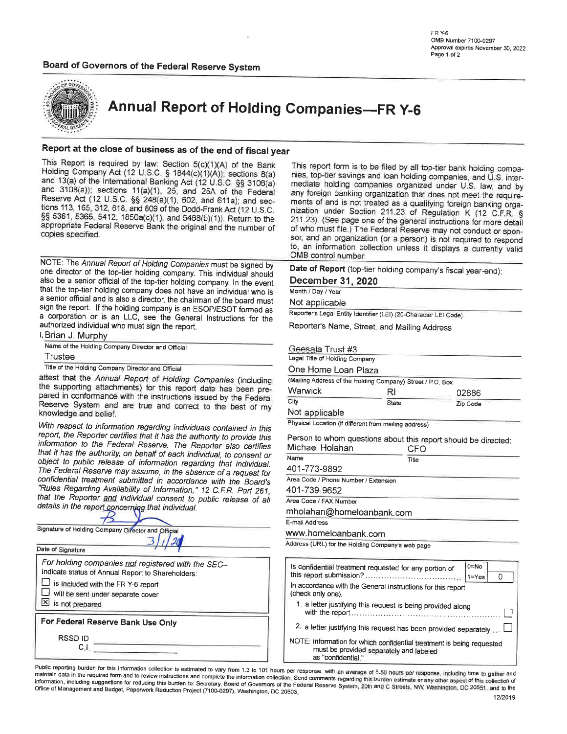#### Board of Governors of the Federal Reserve System

**FR Y-6** OMB Number 7100-0297 Approval expires November 30, 2022 Page 1 of 2



**Annual Report of Holding Companies-FR Y-6** 

#### Report at the close of business as of the end of fiscal year

This Report is required by law: Section 5(c)(1)(A) of the Bank Holding Company Act (12 U.S.C. § 1844(c)(1)(A)); sections 8(a) and 13(a) of the International Banking Act (12 U.S.C. §§ 3106(a) and 3108(a)); sections 11(a)(1), 25, and 25A of the Federal Reserve Act (12 U.S.C. §§ 248(a)(1), 602, and 611a); and sections 113, 165, 312, 618, and 809 of the Dodd-Frank Act (12 U.S.C. §§ 5361, 5365, 5412, 1850a(c)(1), and 5468(b)(1)). Return to the appropriate Federal Reserve Bank the original and the number of copies specified.

NOTE: The Annual Report of Holding Companies must be signed by one director of the top-tier holding company. This individual should also be a senior official of the top-tier holding company. In the event that the top-tier holding company does not have an individual who is a senior official and is also a director, the chairman of the board must sign the report. If the holding company is an ESOP/ESOT formed as a corporation or is an LLC, see the General Instructions for the authorized individual who must sign the report. I, Brian J. Murphy

Name of the Holding Company Director and Official

Trustee

Title of the Holding Company Director and Official

attest that the Annual Report of Holding Companies (including the supporting attachments) for this report date has been prepared in conformance with the instructions issued by the Federal Reserve System and are true and correct to the best of my knowledge and belief.

With respect to information regarding individuals contained in this report, the Reporter certifies that it has the authority to provide this information to the Federal Reserve. The Reporter also certifies that it has the authority, on behalf of each individual, to consent or object to public release of information regarding that individual. The Federal Reserve may assume, in the absence of a request for confidential treatment submitted in accordance with the Board's "Rules Regarding Availability of Information," 12 C.F.R. Part 261, that the Reporter and individual consent to public release of all details in the report concerning that individual.

| Signature of Holding Company Director and Official                                                      |  |  |  |  |  |  |  |
|---------------------------------------------------------------------------------------------------------|--|--|--|--|--|--|--|
|                                                                                                         |  |  |  |  |  |  |  |
| Date of Signature                                                                                       |  |  |  |  |  |  |  |
| For holding companies not registered with the SEC-<br>Indicate status of Annual Report to Shareholders: |  |  |  |  |  |  |  |
| is included with the FR Y-6 report                                                                      |  |  |  |  |  |  |  |
| will be sent under separate cover                                                                       |  |  |  |  |  |  |  |
| is not prepared                                                                                         |  |  |  |  |  |  |  |
| For Federal Reserve Bank Use Only                                                                       |  |  |  |  |  |  |  |
| <b>RSSDID</b>                                                                                           |  |  |  |  |  |  |  |

This report form is to be filed by all top-tier bank holding companies, top-tier savings and loan holding companies, and U.S. intermediate holding companies organized under U.S. law, and by any foreign banking organization that does not meet the requirements of and is not treated as a qualifying foreign banking organization under Section 211.23 of Regulation K (12 C.F.R. § 211.23). (See page one of the general instructions for more detail of who must file.) The Federal Reserve may not conduct or sponsor, and an organization (or a person) is not required to respond to, an information collection unless it displays a currently valid OMB control number.

Date of Report (top-tier holding company's fiscal year-end): December 31, 2020

Month / Day / Year

Not applicable

Reporter's Legal Entity Identifier (LEI) (20-Character LEI Code)

Reporter's Name, Street, and Mailing Address

Geesala Trust #3

Legal Title of Holding Company

One Home Loan Plaza

| (Mailing Address of the Holding Company) Street / P.O. Box |       |          |  |  |  |  |  |
|------------------------------------------------------------|-------|----------|--|--|--|--|--|
| Warwick                                                    | RI    | 02886    |  |  |  |  |  |
| City<br>A. J. A. Lawrence, M. Charles of Con-              | State | Zip Code |  |  |  |  |  |

Not applicable

Physical Location (if different from mailing address)

Person to whom questions about this report should be directed: Michael Holahan

| Michael Holahan                                  | CFO   |  |
|--------------------------------------------------|-------|--|
| Name                                             | Title |  |
| 401-773-9892                                     |       |  |
| Area Code / Phone Number / Extension             |       |  |
| 401-739-9652                                     |       |  |
| Area Code / FAX Number                           |       |  |
| mholahan@homeloanbank.com                        |       |  |
| E-mail Address                                   |       |  |
| www.homeloanbank.com                             |       |  |
| Address (URL) for the Holding Company's web page |       |  |

| Is confidential treatment requested for any portion of                                                                                 | 0=No<br>$1 = Yes$ |
|----------------------------------------------------------------------------------------------------------------------------------------|-------------------|
| In accordance with the General Instructions for this report<br>(check only one).                                                       |                   |
| 1. a letter justifying this request is being provided along                                                                            |                   |
| 2. a letter justifying this request has been provided separately                                                                       |                   |
| NOTE: information for which confidential treatment is being requested<br>must be provided separately and labeled<br>as "confidential." |                   |

Public reporting burden for this information collection is estimated to vary from 1.3 to 101 hours per response, with an average of 5.50 hours per response, including time to gather and maintain data in the required form and to review instructions and complete the information collection. Send comments regarding this burden estimate or any other aspect of this collection of information, including suggestions for reducing this burden to: Secretary, Board of Governors of the Federal Reserve System, 20th and C Streets, NW, Washington, DC 20551, and to the Office of Management and Budget, Paperwork Reduction Project (7100-0297), Washington, DC 20503.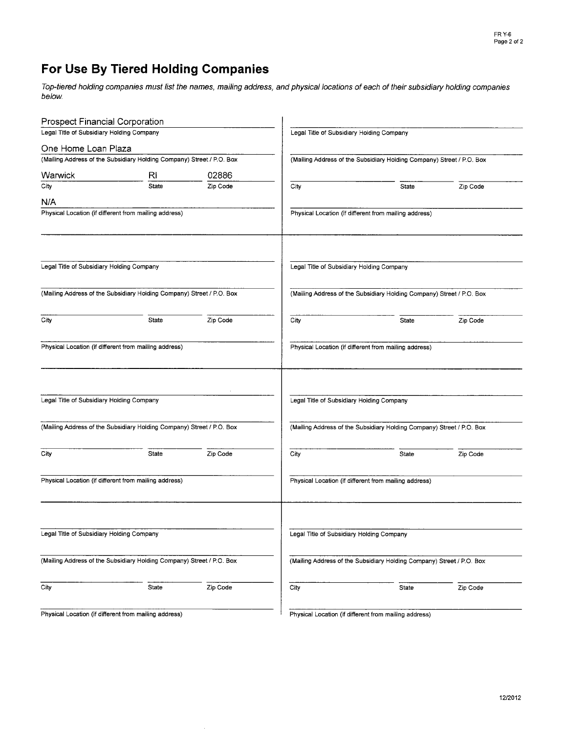## For Use By Tiered Holding Gompanies

Top-tiered holding companies must list the names, mailing address, and physical locations of each of their subsidiary holding companies below.

| <b>Prospect Financial Corporation</b>     |                                                                       |          |                                                                       |                                                                       |          |  |  |  |
|-------------------------------------------|-----------------------------------------------------------------------|----------|-----------------------------------------------------------------------|-----------------------------------------------------------------------|----------|--|--|--|
| Legal Title of Subsidiary Holding Company |                                                                       |          | Legal Title of Subsidiary Holding Company                             |                                                                       |          |  |  |  |
| One Home Loan Plaza                       |                                                                       |          |                                                                       |                                                                       |          |  |  |  |
|                                           | (Mailing Address of the Subsidiary Holding Company) Street / P.O. Box |          | (Mailing Address of the Subsidiary Holding Company) Street / P.O. Box |                                                                       |          |  |  |  |
| Warwick                                   | RI                                                                    | 02886    |                                                                       |                                                                       |          |  |  |  |
| City                                      | <b>State</b>                                                          | Zip Code | City                                                                  | State                                                                 | Zip Code |  |  |  |
| N/A                                       |                                                                       |          |                                                                       |                                                                       |          |  |  |  |
|                                           | Physical Location (if different from mailing address)                 |          |                                                                       | Physical Location (if different from mailing address)                 |          |  |  |  |
| Legal Title of Subsidiary Holding Company |                                                                       |          | Legal Title of Subsidiary Holding Company                             |                                                                       |          |  |  |  |
|                                           | (Mailing Address of the Subsidiary Holding Company) Street / P.O. Box |          |                                                                       | (Mailing Address of the Subsidiary Holding Company) Street / P.O. Box |          |  |  |  |
|                                           |                                                                       |          |                                                                       |                                                                       |          |  |  |  |
| City                                      | State                                                                 | Zip Code | City                                                                  | <b>State</b>                                                          | Zip Code |  |  |  |
|                                           | Physical Location (if different from mailing address)                 |          |                                                                       | Physical Location (if different from mailing address)                 |          |  |  |  |
| Legal Title of Subsidiary Holding Company |                                                                       |          | Legal Title of Subsidiary Holding Company                             |                                                                       |          |  |  |  |
|                                           |                                                                       |          |                                                                       |                                                                       |          |  |  |  |
|                                           | (Mailing Address of the Subsidiary Holding Company) Street / P.O. Box |          |                                                                       | (Mailing Address of the Subsidiary Holding Company) Street / P.O. Box |          |  |  |  |
| City                                      | State                                                                 | Zip Code | City                                                                  | State                                                                 | Zip Code |  |  |  |
|                                           | Physical Location (if different from mailing address)                 |          |                                                                       | Physical Location (if different from mailing address)                 |          |  |  |  |
| Legal Title of Subsidiary Holding Company |                                                                       |          | Legal Title of Subsidiary Holding Company                             |                                                                       |          |  |  |  |
|                                           | (Mailing Address of the Subsidiary Holding Company) Street / P.O. Box |          |                                                                       | (Mailing Address of the Subsidiary Holding Company) Street / P.O. Box |          |  |  |  |
|                                           |                                                                       |          |                                                                       |                                                                       |          |  |  |  |
| City                                      | State                                                                 | Zip Code | City                                                                  | State                                                                 | Zip Code |  |  |  |
|                                           | Physical Location (if different from mailing address)                 |          |                                                                       | Physical Location (if different from mailing address)                 |          |  |  |  |

 $\mathcal{A}$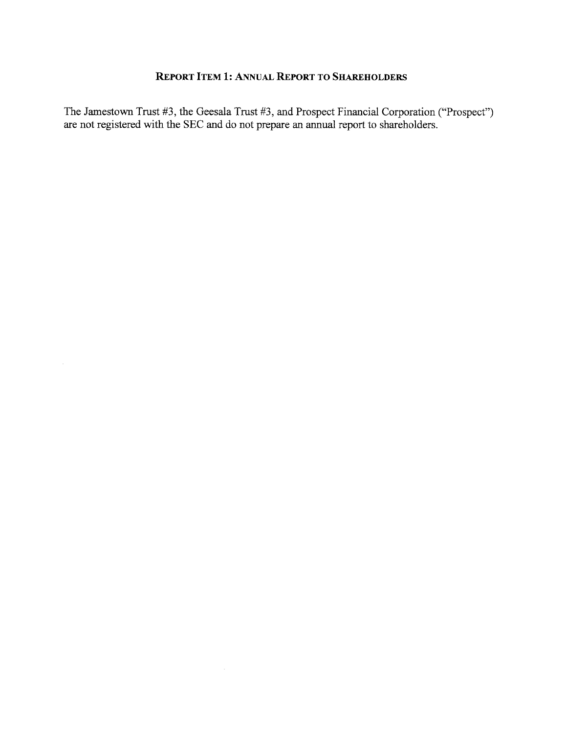#### REPORT ITEM 1: ANNUAL REPORT TO SHAREHOLDERS

The Jamestown Trust #3, the Geesala Trust #3, and Prospect Financial Corporation ("Prospect") are not registered with the SEC and do not prepare an annual report to shareholders.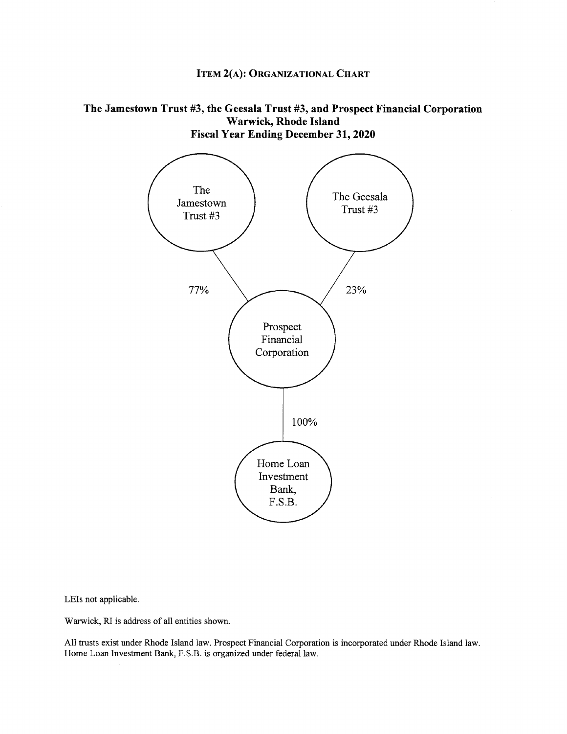## **ITEM 2(A): ORGANIZATIONAL CHART**

#### The Jamestown Trust #3, the Geesala Trust #3, and Prospect Financial Corporation Warwick, Rhode Island **Fiscal Year Ending December 31, 2020**



LEIs not applicable.

Warwick, RI is address of all entities shown.

All trusts exist under Rhode Island law. Prospect Financial Corporation is incorporated under Rhode Island law. Home Loan Investment Bank, F.S.B. is organized under federal law.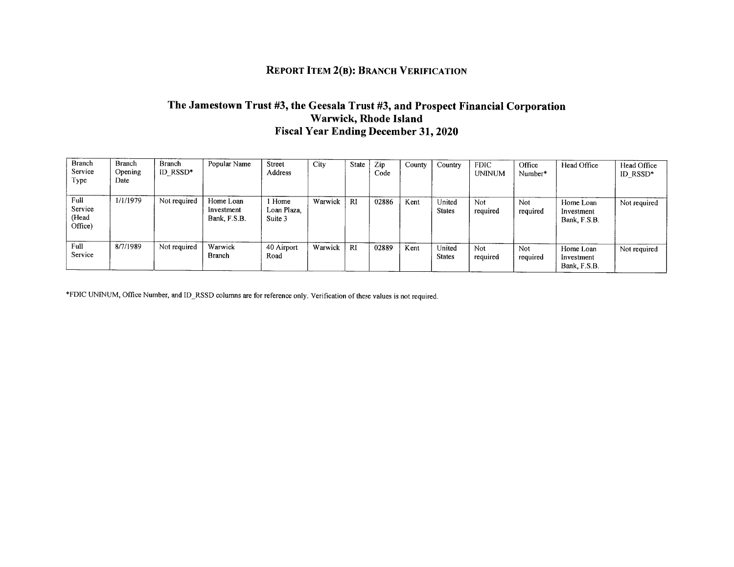## **REPORT ITEM 2(B): BRANCH VERIFICATION**

### The Jamestown Trust #3, the Geesala Trust #3, and Prospect Financial Corporation Warwick, Rhode Island **Fiscal Year Ending December 31, 2020**

| <b>Branch</b><br>Service<br>Type    | <b>Branch</b><br>Opening<br>Date | <b>Branch</b><br>ID RSSD* | Popular Name                            | Street<br><b>Address</b>         | City    | State     | Zip<br>Code | County | Country                 | <b>FDIC</b><br><b>UNINUM</b> | Office<br>Number* | Head Office                             | Head Office<br>ID_RSSD* |
|-------------------------------------|----------------------------------|---------------------------|-----------------------------------------|----------------------------------|---------|-----------|-------------|--------|-------------------------|------------------------------|-------------------|-----------------------------------------|-------------------------|
| Full<br>Service<br>(Head<br>Office) | 1/1/1979                         | Not required              | Home Loan<br>Investment<br>Bank, F.S.B. | l Home<br>Loan Plaza,<br>Suite 3 | Warwick | <b>RI</b> | 02886       | Kent   | United<br><b>States</b> | Not.<br>required             | Not<br>required   | Home Loan<br>Investment<br>Bank, F.S.B. | Not required            |
| Full<br>Service                     | 8/7/1989                         | Not required              | Warwick<br><b>Branch</b>                | 40 Airport<br>Road               | Warwick | RI        | 02889       | Kent   | United<br><b>States</b> | <b>Not</b><br>required       | Not<br>required   | Home Loan<br>Investment<br>Bank, F.S.B. | Not required            |

\*FDIC UNINUM, Office Number, and ID\_RSSD columns are for reference only. Verification of these values is not required.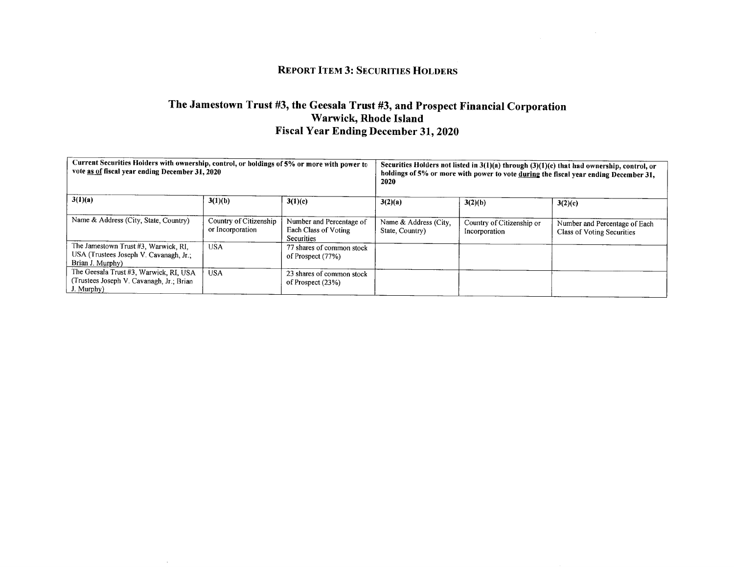### **REPORT ITEM 3: SECURITIES HOLDERS**

# The Jamestown Trust #3, the Geesala Trust #3, and Prospect Financial Corporation Warwick, Rhode Island<br>Fiscal Year Ending December 31, 2020

| Current Securities Holders with ownership, control, or holdings of 5% or more with power to<br>vote as of fiscal year ending December 31, 2020 |                                            |                                                                       | Securities Holders not listed in $3(1)(a)$ through $(3)(1)(c)$ that had ownership, control, or<br>holdings of 5% or more with power to vote during the fiscal year ending December 31,<br>2020 |                                            |                                                             |  |
|------------------------------------------------------------------------------------------------------------------------------------------------|--------------------------------------------|-----------------------------------------------------------------------|------------------------------------------------------------------------------------------------------------------------------------------------------------------------------------------------|--------------------------------------------|-------------------------------------------------------------|--|
| 3(1)(a)                                                                                                                                        | 3(1)(b)                                    | 3(1)(c)                                                               | 3(2)(a)                                                                                                                                                                                        | 3(2)(b)                                    | 3(2)(c)                                                     |  |
| Name & Address (City, State, Country)                                                                                                          | Country of Citizenship<br>or Incorporation | Number and Percentage of<br>Each Class of Voting<br><b>Securities</b> | Name & Address (City,<br>State, Country)                                                                                                                                                       | Country of Citizenship or<br>Incorporation | Number and Percentage of Each<br>Class of Voting Securities |  |
| The Jamestown Trust #3, Warwick, RI,<br>USA (Trustees Joseph V. Cavanagh, Jr.;<br>Brian J. Murphy)                                             | <b>USA</b>                                 | 77 shares of common stock<br>of Prospect (77%)                        |                                                                                                                                                                                                |                                            |                                                             |  |
| The Geesala Trust #3, Warwick, RI, USA<br>(Trustees Joseph V. Cavanagh, Jr.; Brian<br>J. Murphy)                                               | <b>USA</b>                                 | 23 shares of common stock<br>of Prospect (23%)                        |                                                                                                                                                                                                |                                            |                                                             |  |

 $\sim 10^{-1}$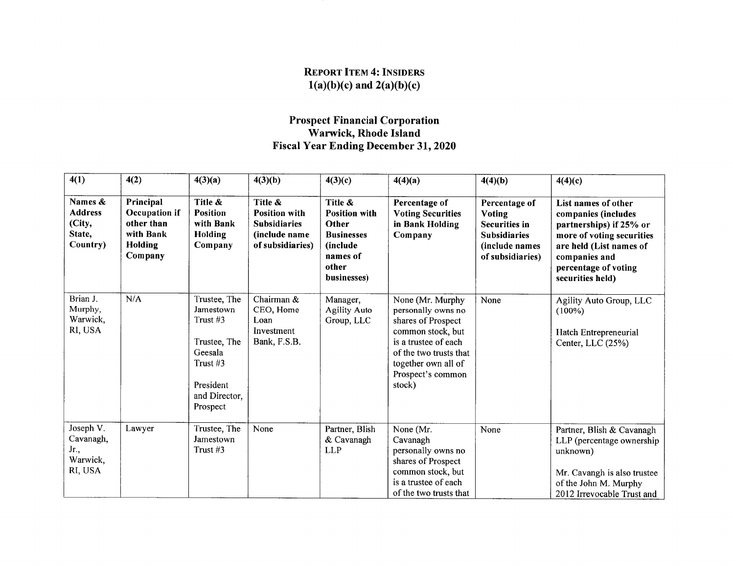## REPORT ITEM 4: INSIDERS  $1(a)(b)(c)$  and  $2(a)(b)(c)$

# Prospect Financial Corporationwarwick, Rhode Island<br>Fiscal Year Ending December 31, 2020

| 4(1)                                                      | 4(2)                                                                               | 4(3)(a)                                                                                                                | 4(3)(b)                                                                                     | 4(3)(c)                                                                                                       | 4(4)(a)                                                                                                                                                                                   | 4(4)(b)                                                                                                             | 4(4)(c)                                                                                                                                                                                    |
|-----------------------------------------------------------|------------------------------------------------------------------------------------|------------------------------------------------------------------------------------------------------------------------|---------------------------------------------------------------------------------------------|---------------------------------------------------------------------------------------------------------------|-------------------------------------------------------------------------------------------------------------------------------------------------------------------------------------------|---------------------------------------------------------------------------------------------------------------------|--------------------------------------------------------------------------------------------------------------------------------------------------------------------------------------------|
| Names &<br><b>Address</b><br>(City,<br>State,<br>Country) | Principal<br>Occupation if<br>other than<br>with Bank<br><b>Holding</b><br>Company | Title &<br><b>Position</b><br>with Bank<br>Holding<br>Company                                                          | Title &<br><b>Position with</b><br><b>Subsidiaries</b><br>(include name<br>of subsidiaries) | Title &<br><b>Position with</b><br>Other<br><b>Businesses</b><br>(include<br>names of<br>other<br>businesses) | Percentage of<br><b>Voting Securities</b><br>in Bank Holding<br>Company                                                                                                                   | Percentage of<br><b>Voting</b><br><b>Securities in</b><br><b>Subsidiaries</b><br>(include names<br>of subsidiaries) | List names of other<br>companies (includes<br>partnerships) if 25% or<br>more of voting securities<br>are held (List names of<br>companies and<br>percentage of voting<br>securities held) |
| Brian J.<br>Murphy,<br>Warwick,<br>RI, USA                | N/A                                                                                | Trustee, The<br>Jamestown<br>Trust #3<br>Trustee, The<br>Geesala<br>Trust #3<br>President<br>and Director,<br>Prospect | Chairman &<br>CEO, Home<br>Loan<br>Investment<br>Bank, F.S.B.                               | Manager,<br><b>Agility Auto</b><br>Group, LLC                                                                 | None (Mr. Murphy<br>personally owns no<br>shares of Prospect<br>common stock, but<br>is a trustee of each<br>of the two trusts that<br>together own all of<br>Prospect's common<br>stock) | None                                                                                                                | Agility Auto Group, LLC<br>$(100\%)$<br>Hatch Entrepreneurial<br>Center, LLC (25%)                                                                                                         |
| Joseph V.<br>Cavanagh,<br>Jr.,<br>Warwick,<br>RI, USA     | Lawyer                                                                             | Trustee, The<br>Jamestown<br>Trust #3                                                                                  | None                                                                                        | Partner, Blish<br>& Cavanagh<br><b>LLP</b>                                                                    | None (Mr.<br>Cavanagh<br>personally owns no<br>shares of Prospect<br>common stock, but<br>is a trustee of each<br>of the two trusts that                                                  | None                                                                                                                | Partner, Blish & Cavanagh<br>LLP (percentage ownership<br>unknown)<br>Mr. Cavangh is also trustee<br>of the John M. Murphy<br>2012 Irrevocable Trust and                                   |